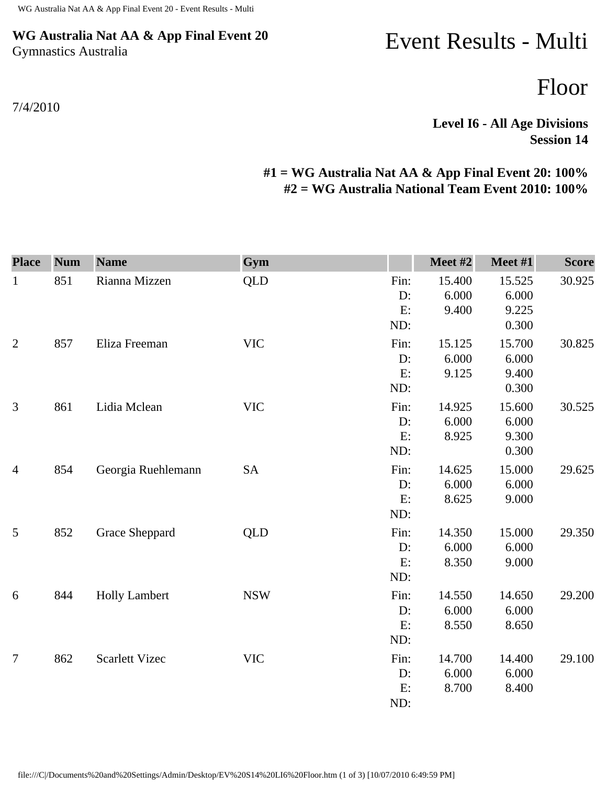## **WG Australia Nat AA & App Final Event 20** Gymnastics Australia

## 7/4/2010

## Event Results - Multi

Floor

**Level I6 - All Age Divisions Session 14** 

## **#1 = WG Australia Nat AA & App Final Event 20: 100% #2 = WG Australia National Team Event 2010: 100%**

| <b>Place</b>   | <b>Num</b> | <b>Name</b>           | Gym        |                         | Meet #2                  | Meet #1                           | <b>Score</b> |
|----------------|------------|-----------------------|------------|-------------------------|--------------------------|-----------------------------------|--------------|
| $\mathbf{1}$   | 851        | Rianna Mizzen         | <b>QLD</b> | Fin:<br>D:<br>E:<br>ND: | 15.400<br>6.000<br>9.400 | 15.525<br>6.000<br>9.225<br>0.300 | 30.925       |
| $\mathbf{2}$   | 857        | Eliza Freeman         | <b>VIC</b> | Fin:<br>D:<br>E:<br>ND: | 15.125<br>6.000<br>9.125 | 15.700<br>6.000<br>9.400<br>0.300 | 30.825       |
| 3              | 861        | Lidia Mclean          | <b>VIC</b> | Fin:<br>D:<br>E:<br>ND: | 14.925<br>6.000<br>8.925 | 15.600<br>6.000<br>9.300<br>0.300 | 30.525       |
| $\overline{4}$ | 854        | Georgia Ruehlemann    | <b>SA</b>  | Fin:<br>D:<br>E:<br>ND: | 14.625<br>6.000<br>8.625 | 15.000<br>6.000<br>9.000          | 29.625       |
| 5              | 852        | Grace Sheppard        | <b>QLD</b> | Fin:<br>D:<br>E:<br>ND: | 14.350<br>6.000<br>8.350 | 15.000<br>6.000<br>9.000          | 29.350       |
| 6              | 844        | <b>Holly Lambert</b>  | <b>NSW</b> | Fin:<br>D:<br>E:<br>ND: | 14.550<br>6.000<br>8.550 | 14.650<br>6.000<br>8.650          | 29.200       |
| $\overline{7}$ | 862        | <b>Scarlett Vizec</b> | <b>VIC</b> | Fin:<br>D:<br>E:<br>ND: | 14.700<br>6.000<br>8.700 | 14.400<br>6.000<br>8.400          | 29.100       |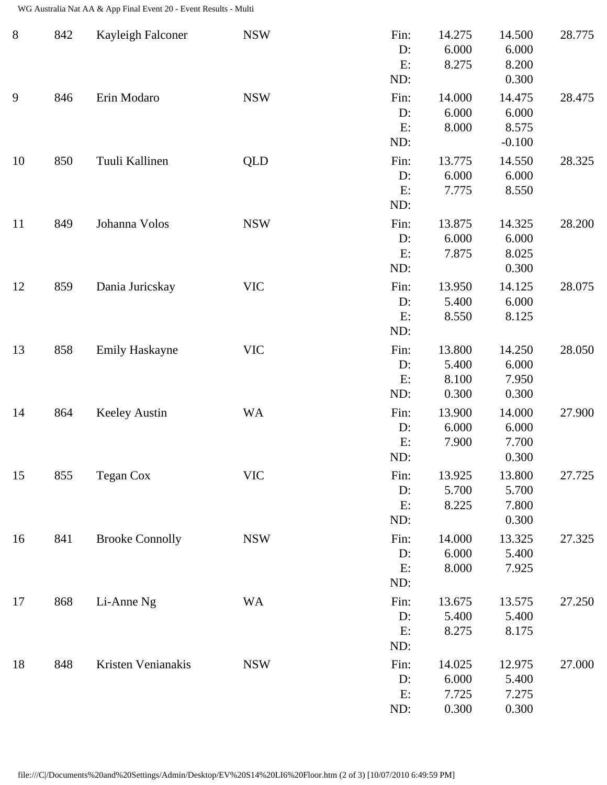WG Australia Nat AA & App Final Event 20 - Event Results - Multi

| $\, 8$ | 842 | Kayleigh Falconer      | <b>NSW</b> | Fin:<br>D:<br>E:<br>ND:    | 14.275<br>6.000<br>8.275          | 14.500<br>6.000<br>8.200<br>0.300    | 28.775 |
|--------|-----|------------------------|------------|----------------------------|-----------------------------------|--------------------------------------|--------|
| 9      | 846 | Erin Modaro            | <b>NSW</b> | Fin:<br>$D$ :<br>E:<br>ND: | 14.000<br>6.000<br>8.000          | 14.475<br>6.000<br>8.575<br>$-0.100$ | 28.475 |
| 10     | 850 | Tuuli Kallinen         | QLD        | Fin:<br>D:<br>E:<br>ND:    | 13.775<br>6.000<br>7.775          | 14.550<br>6.000<br>8.550             | 28.325 |
| 11     | 849 | Johanna Volos          | <b>NSW</b> | Fin:<br>D:<br>E:<br>ND:    | 13.875<br>6.000<br>7.875          | 14.325<br>6.000<br>8.025<br>0.300    | 28.200 |
| 12     | 859 | Dania Juricskay        | <b>VIC</b> | Fin:<br>D:<br>E:<br>ND:    | 13.950<br>5.400<br>8.550          | 14.125<br>6.000<br>8.125             | 28.075 |
| 13     | 858 | <b>Emily Haskayne</b>  | <b>VIC</b> | Fin:<br>D:<br>E:<br>ND:    | 13.800<br>5.400<br>8.100<br>0.300 | 14.250<br>6.000<br>7.950<br>0.300    | 28.050 |
| 14     | 864 | <b>Keeley Austin</b>   | <b>WA</b>  | Fin:<br>D:<br>E:<br>ND:    | 13.900<br>6.000<br>7.900          | 14.000<br>6.000<br>7.700<br>0.300    | 27.900 |
| 15     | 855 | Tegan Cox              | <b>VIC</b> | Fin:<br>D:<br>E:<br>ND:    | 13.925<br>5.700<br>8.225          | 13.800<br>5.700<br>7.800<br>0.300    | 27.725 |
| 16     | 841 | <b>Brooke Connolly</b> | <b>NSW</b> | Fin:<br>D:<br>E:<br>ND:    | 14.000<br>6.000<br>8.000          | 13.325<br>5.400<br>7.925             | 27.325 |
| 17     | 868 | Li-Anne Ng             | <b>WA</b>  | Fin:<br>D:<br>E:<br>ND:    | 13.675<br>5.400<br>8.275          | 13.575<br>5.400<br>8.175             | 27.250 |
| 18     | 848 | Kristen Venianakis     | <b>NSW</b> | Fin:<br>D:<br>E:<br>ND:    | 14.025<br>6.000<br>7.725<br>0.300 | 12.975<br>5.400<br>7.275<br>0.300    | 27.000 |